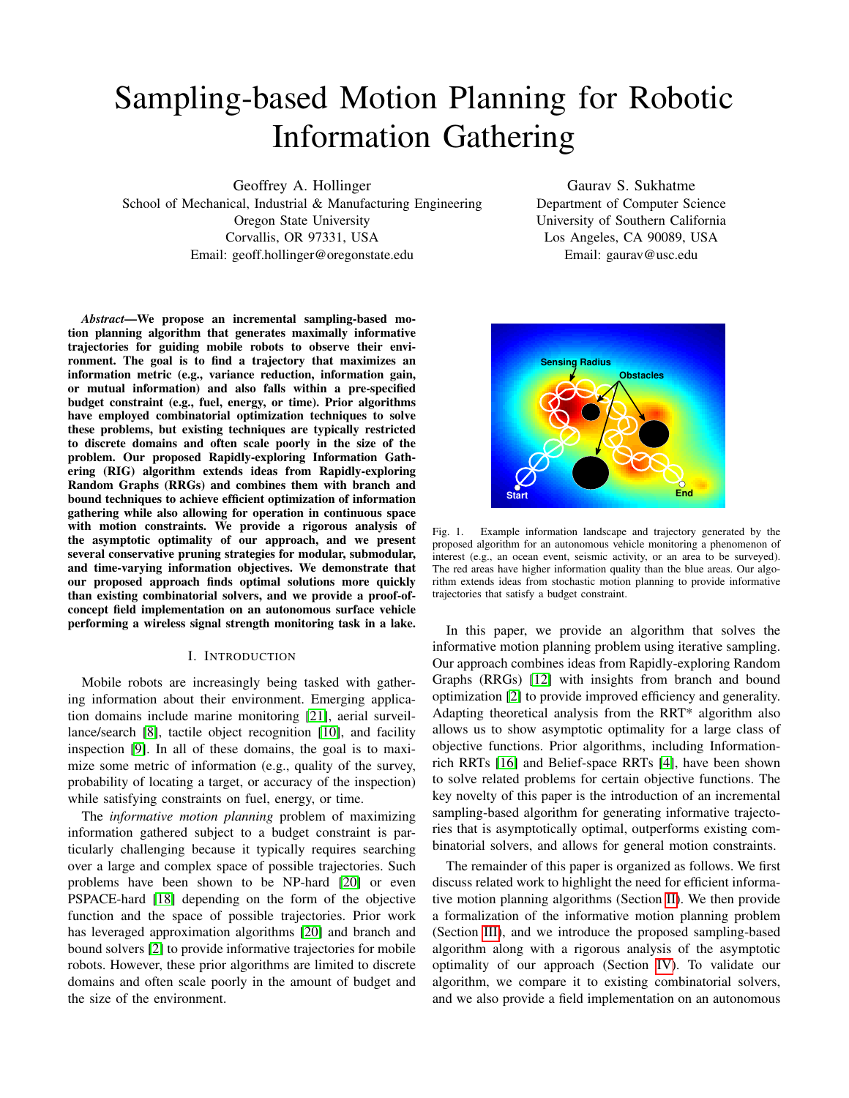# Sampling-based Motion Planning for Robotic Information Gathering

Geoffrey A. Hollinger

School of Mechanical, Industrial & Manufacturing Engineering Oregon State University Corvallis, OR 97331, USA Email: geoff.hollinger@oregonstate.edu

*Abstract*—We propose an incremental sampling-based motion planning algorithm that generates maximally informative trajectories for guiding mobile robots to observe their environment. The goal is to find a trajectory that maximizes an information metric (e.g., variance reduction, information gain, or mutual information) and also falls within a pre-specified budget constraint (e.g., fuel, energy, or time). Prior algorithms have employed combinatorial optimization techniques to solve these problems, but existing techniques are typically restricted to discrete domains and often scale poorly in the size of the problem. Our proposed Rapidly-exploring Information Gathering (RIG) algorithm extends ideas from Rapidly-exploring Random Graphs (RRGs) and combines them with branch and bound techniques to achieve efficient optimization of information gathering while also allowing for operation in continuous space with motion constraints. We provide a rigorous analysis of the asymptotic optimality of our approach, and we present several conservative pruning strategies for modular, submodular, and time-varying information objectives. We demonstrate that our proposed approach finds optimal solutions more quickly than existing combinatorial solvers, and we provide a proof-ofconcept field implementation on an autonomous surface vehicle performing a wireless signal strength monitoring task in a lake.

## I. INTRODUCTION

Mobile robots are increasingly being tasked with gathering information about their environment. Emerging application domains include marine monitoring [\[21\]](#page-7-0), aerial surveillance/search [\[8\]](#page-7-1), tactile object recognition [\[10\]](#page-7-2), and facility inspection [\[9\]](#page-7-3). In all of these domains, the goal is to maximize some metric of information (e.g., quality of the survey, probability of locating a target, or accuracy of the inspection) while satisfying constraints on fuel, energy, or time.

The *informative motion planning* problem of maximizing information gathered subject to a budget constraint is particularly challenging because it typically requires searching over a large and complex space of possible trajectories. Such problems have been shown to be NP-hard [\[20\]](#page-7-4) or even PSPACE-hard [\[18\]](#page-7-5) depending on the form of the objective function and the space of possible trajectories. Prior work has leveraged approximation algorithms [\[20\]](#page-7-4) and branch and bound solvers [\[2\]](#page-7-6) to provide informative trajectories for mobile robots. However, these prior algorithms are limited to discrete domains and often scale poorly in the amount of budget and the size of the environment.

Gaurav S. Sukhatme Department of Computer Science University of Southern California Los Angeles, CA 90089, USA Email: gaurav@usc.edu



<span id="page-0-0"></span>Fig. 1. Example information landscape and trajectory generated by the proposed algorithm for an autonomous vehicle monitoring a phenomenon of interest (e.g., an ocean event, seismic activity, or an area to be surveyed). The red areas have higher information quality than the blue areas. Our algorithm extends ideas from stochastic motion planning to provide informative trajectories that satisfy a budget constraint.

In this paper, we provide an algorithm that solves the informative motion planning problem using iterative sampling. Our approach combines ideas from Rapidly-exploring Random Graphs (RRGs) [\[12\]](#page-7-7) with insights from branch and bound optimization [\[2\]](#page-7-6) to provide improved efficiency and generality. Adapting theoretical analysis from the RRT\* algorithm also allows us to show asymptotic optimality for a large class of objective functions. Prior algorithms, including Informationrich RRTs [\[16\]](#page-7-8) and Belief-space RRTs [\[4\]](#page-7-9), have been shown to solve related problems for certain objective functions. The key novelty of this paper is the introduction of an incremental sampling-based algorithm for generating informative trajectories that is asymptotically optimal, outperforms existing combinatorial solvers, and allows for general motion constraints.

The remainder of this paper is organized as follows. We first discuss related work to highlight the need for efficient informative motion planning algorithms (Section [II\)](#page-1-0). We then provide a formalization of the informative motion planning problem (Section [III\)](#page-1-1), and we introduce the proposed sampling-based algorithm along with a rigorous analysis of the asymptotic optimality of our approach (Section [IV\)](#page-2-0). To validate our algorithm, we compare it to existing combinatorial solvers, and we also provide a field implementation on an autonomous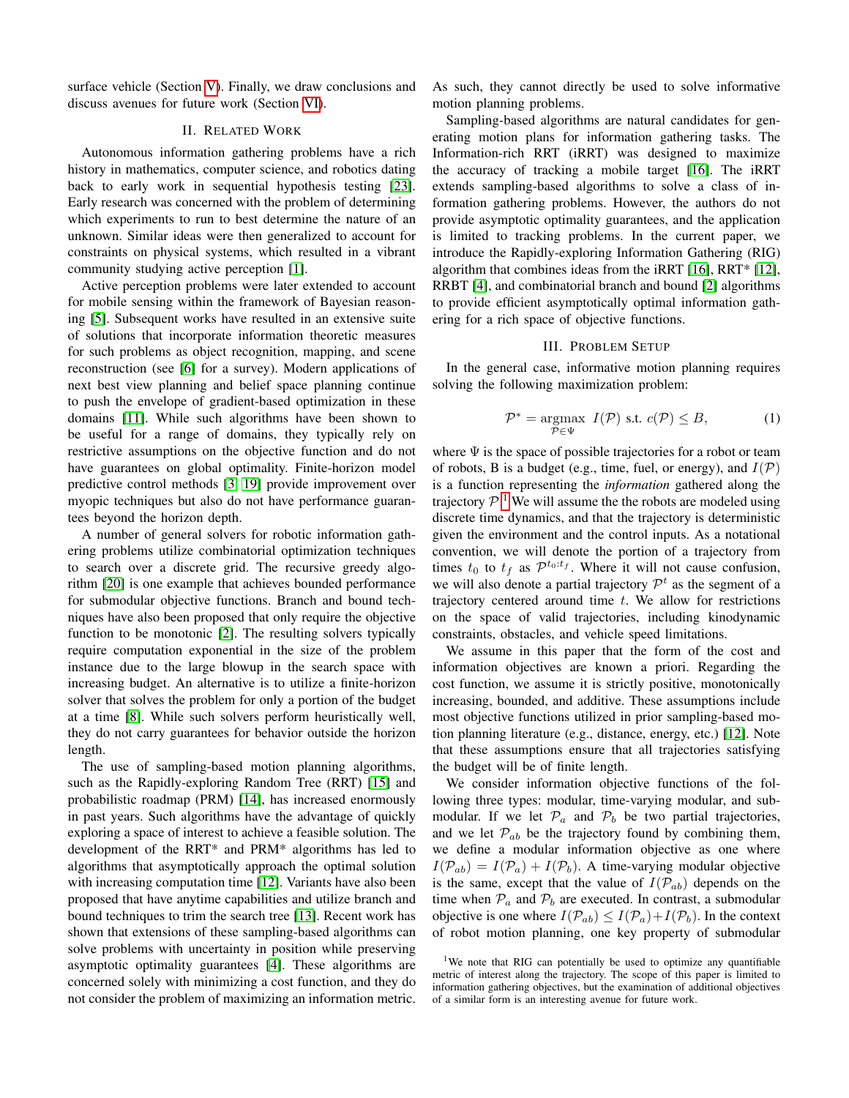surface vehicle (Section [V\)](#page-4-0). Finally, we draw conclusions and discuss avenues for future work (Section [VI\)](#page-6-0).

# II. RELATED WORK

<span id="page-1-0"></span>Autonomous information gathering problems have a rich history in mathematics, computer science, and robotics dating back to early work in sequential hypothesis testing [\[23\]](#page-7-10). Early research was concerned with the problem of determining which experiments to run to best determine the nature of an unknown. Similar ideas were then generalized to account for constraints on physical systems, which resulted in a vibrant community studying active perception [\[1\]](#page-7-11).

Active perception problems were later extended to account for mobile sensing within the framework of Bayesian reasoning [\[5\]](#page-7-12). Subsequent works have resulted in an extensive suite of solutions that incorporate information theoretic measures for such problems as object recognition, mapping, and scene reconstruction (see [\[6\]](#page-7-13) for a survey). Modern applications of next best view planning and belief space planning continue to push the envelope of gradient-based optimization in these domains [\[11\]](#page-7-14). While such algorithms have been shown to be useful for a range of domains, they typically rely on restrictive assumptions on the objective function and do not have guarantees on global optimality. Finite-horizon model predictive control methods [\[3,](#page-7-15) [19\]](#page-7-16) provide improvement over myopic techniques but also do not have performance guarantees beyond the horizon depth.

A number of general solvers for robotic information gathering problems utilize combinatorial optimization techniques to search over a discrete grid. The recursive greedy algorithm [\[20\]](#page-7-4) is one example that achieves bounded performance for submodular objective functions. Branch and bound techniques have also been proposed that only require the objective function to be monotonic [\[2\]](#page-7-6). The resulting solvers typically require computation exponential in the size of the problem instance due to the large blowup in the search space with increasing budget. An alternative is to utilize a finite-horizon solver that solves the problem for only a portion of the budget at a time [\[8\]](#page-7-1). While such solvers perform heuristically well, they do not carry guarantees for behavior outside the horizon length.

The use of sampling-based motion planning algorithms, such as the Rapidly-exploring Random Tree (RRT) [\[15\]](#page-7-17) and probabilistic roadmap (PRM) [\[14\]](#page-7-18), has increased enormously in past years. Such algorithms have the advantage of quickly exploring a space of interest to achieve a feasible solution. The development of the RRT\* and PRM\* algorithms has led to algorithms that asymptotically approach the optimal solution with increasing computation time [\[12\]](#page-7-7). Variants have also been proposed that have anytime capabilities and utilize branch and bound techniques to trim the search tree [\[13\]](#page-7-19). Recent work has shown that extensions of these sampling-based algorithms can solve problems with uncertainty in position while preserving asymptotic optimality guarantees [\[4\]](#page-7-9). These algorithms are concerned solely with minimizing a cost function, and they do not consider the problem of maximizing an information metric. As such, they cannot directly be used to solve informative motion planning problems.

Sampling-based algorithms are natural candidates for generating motion plans for information gathering tasks. The Information-rich RRT (iRRT) was designed to maximize the accuracy of tracking a mobile target [\[16\]](#page-7-8). The iRRT extends sampling-based algorithms to solve a class of information gathering problems. However, the authors do not provide asymptotic optimality guarantees, and the application is limited to tracking problems. In the current paper, we introduce the Rapidly-exploring Information Gathering (RIG) algorithm that combines ideas from the iRRT [\[16\]](#page-7-8), RRT\* [\[12\]](#page-7-7), RRBT [\[4\]](#page-7-9), and combinatorial branch and bound [\[2\]](#page-7-6) algorithms to provide efficient asymptotically optimal information gathering for a rich space of objective functions.

## III. PROBLEM SETUP

<span id="page-1-1"></span>In the general case, informative motion planning requires solving the following maximization problem:

$$
\mathcal{P}^* = \underset{\mathcal{P} \in \Psi}{\operatorname{argmax}} \ I(\mathcal{P}) \text{ s.t. } c(\mathcal{P}) \le B,\tag{1}
$$

where  $\Psi$  is the space of possible trajectories for a robot or team of robots, B is a budget (e.g., time, fuel, or energy), and  $I(\mathcal{P})$ is a function representing the *information* gathered along the trajectory  $P<sup>1</sup>$  $P<sup>1</sup>$  $P<sup>1</sup>$ . We will assume the the robots are modeled using discrete time dynamics, and that the trajectory is deterministic given the environment and the control inputs. As a notational convention, we will denote the portion of a trajectory from times  $t_0$  to  $t_f$  as  $\mathcal{P}^{t_0:t_f}$ . Where it will not cause confusion, we will also denote a partial trajectory  $\mathcal{P}^t$  as the segment of a trajectory centered around time  $t$ . We allow for restrictions on the space of valid trajectories, including kinodynamic constraints, obstacles, and vehicle speed limitations.

We assume in this paper that the form of the cost and information objectives are known a priori. Regarding the cost function, we assume it is strictly positive, monotonically increasing, bounded, and additive. These assumptions include most objective functions utilized in prior sampling-based motion planning literature (e.g., distance, energy, etc.) [\[12\]](#page-7-7). Note that these assumptions ensure that all trajectories satisfying the budget will be of finite length.

We consider information objective functions of the following three types: modular, time-varying modular, and submodular. If we let  $\mathcal{P}_a$  and  $\mathcal{P}_b$  be two partial trajectories, and we let  $\mathcal{P}_{ab}$  be the trajectory found by combining them, we define a modular information objective as one where  $I(\mathcal{P}_{ab}) = I(\mathcal{P}_a) + I(\mathcal{P}_b)$ . A time-varying modular objective is the same, except that the value of  $I(\mathcal{P}_{ab})$  depends on the time when  $P_a$  and  $P_b$  are executed. In contrast, a submodular objective is one where  $I(\mathcal{P}_{ab}) \leq I(\mathcal{P}_a) + I(\mathcal{P}_b)$ . In the context of robot motion planning, one key property of submodular

<span id="page-1-2"></span><sup>&</sup>lt;sup>1</sup>We note that RIG can potentially be used to optimize any quantifiable metric of interest along the trajectory. The scope of this paper is limited to information gathering objectives, but the examination of additional objectives of a similar form is an interesting avenue for future work.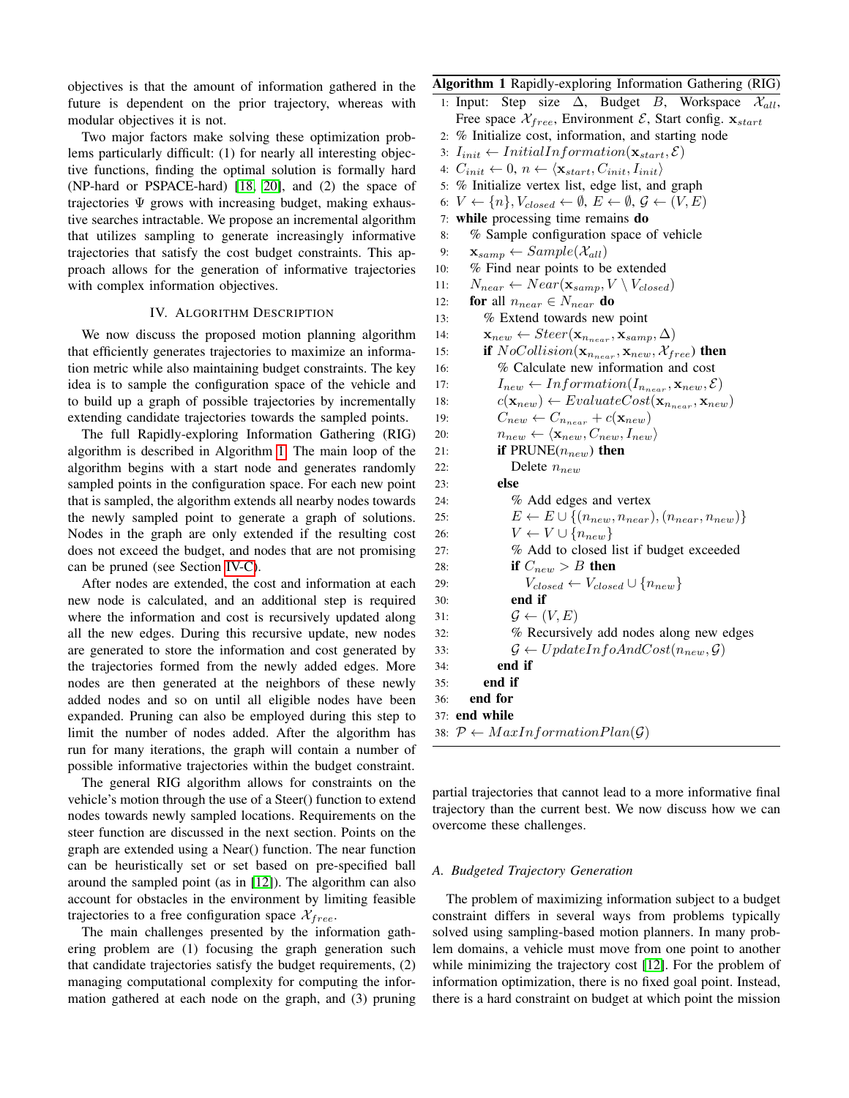objectives is that the amount of information gathered in the future is dependent on the prior trajectory, whereas with modular objectives it is not.

Two major factors make solving these optimization problems particularly difficult: (1) for nearly all interesting objective functions, finding the optimal solution is formally hard (NP-hard or PSPACE-hard) [\[18,](#page-7-5) [20\]](#page-7-4), and (2) the space of trajectories  $\Psi$  grows with increasing budget, making exhaustive searches intractable. We propose an incremental algorithm that utilizes sampling to generate increasingly informative trajectories that satisfy the cost budget constraints. This approach allows for the generation of informative trajectories with complex information objectives.

# IV. ALGORITHM DESCRIPTION

<span id="page-2-0"></span>We now discuss the proposed motion planning algorithm that efficiently generates trajectories to maximize an information metric while also maintaining budget constraints. The key idea is to sample the configuration space of the vehicle and to build up a graph of possible trajectories by incrementally extending candidate trajectories towards the sampled points.

The full Rapidly-exploring Information Gathering (RIG) algorithm is described in Algorithm [1.](#page-2-1) The main loop of the algorithm begins with a start node and generates randomly sampled points in the configuration space. For each new point that is sampled, the algorithm extends all nearby nodes towards the newly sampled point to generate a graph of solutions. Nodes in the graph are only extended if the resulting cost does not exceed the budget, and nodes that are not promising can be pruned (see Section [IV-C\)](#page-3-0).

After nodes are extended, the cost and information at each new node is calculated, and an additional step is required where the information and cost is recursively updated along all the new edges. During this recursive update, new nodes are generated to store the information and cost generated by the trajectories formed from the newly added edges. More nodes are then generated at the neighbors of these newly added nodes and so on until all eligible nodes have been expanded. Pruning can also be employed during this step to limit the number of nodes added. After the algorithm has run for many iterations, the graph will contain a number of possible informative trajectories within the budget constraint.

The general RIG algorithm allows for constraints on the vehicle's motion through the use of a Steer() function to extend nodes towards newly sampled locations. Requirements on the steer function are discussed in the next section. Points on the graph are extended using a Near() function. The near function can be heuristically set or set based on pre-specified ball around the sampled point (as in [\[12\]](#page-7-7)). The algorithm can also account for obstacles in the environment by limiting feasible trajectories to a free configuration space  $\mathcal{X}_{free}$ .

The main challenges presented by the information gathering problem are (1) focusing the graph generation such that candidate trajectories satisfy the budget requirements, (2) managing computational complexity for computing the information gathered at each node on the graph, and (3) pruning

# Algorithm 1 Rapidly-exploring Information Gathering (RIG)

```
1: Input: Step size \Delta, Budget B, Workspace \mathcal{X}_{all},
   Free space \mathcal{X}_{free}, Environment \mathcal{E}, Start config. \mathbf{x}_{start}
```
- 2: % Initialize cost, information, and starting node
- 3:  $I_{init} \leftarrow InitialInformation(\mathbf{x}_{start}, \mathcal{E})$
- 4:  $C_{init} \leftarrow 0, n \leftarrow \langle \mathbf{x}_{start}, C_{init}, I_{init} \rangle$
- 5: % Initialize vertex list, edge list, and graph
- 6:  $V \leftarrow \{n\}, V_{closed} \leftarrow \emptyset, E \leftarrow \emptyset, \mathcal{G} \leftarrow (V, E)$
- 7: while processing time remains do
- 8: % Sample configuration space of vehicle
- 9:  $\mathbf{x}_{\text{ samp}} \leftarrow Sample(X_{all})$
- 10: % Find near points to be extended
- 11:  $N_{near} \leftarrow Near(\mathbf{x}_{samp}, V \setminus V_{closed})$
- 12: **for** all  $n_{near} \in N_{near}$  do
- 13: % Extend towards new point
- 14:  $\mathbf{x}_{new} \leftarrow Steer(\mathbf{x}_{n_{near}}, \mathbf{x}_{samp}, \Delta)$
- 15: **if**  $NoCollision(\mathbf{x}_{n_{near}}, \mathbf{x}_{new}, \mathcal{X}_{free})$  then
- 16: % Calculate new information and cost
- 17:  $I_{new} \leftarrow Information(I_{n_{near}}, \mathbf{x}_{new}, \mathcal{E})$
- 18:  $c(\mathbf{x}_{new}) \leftarrow EvaluateCost(\mathbf{x}_{n_{near}}, \mathbf{x}_{new})$
- 19:  $C_{new} \leftarrow C_{n_{near}} + c(\mathbf{x}_{new})$
- 20:  $n_{new} \leftarrow \langle \mathbf{x}_{new}, C_{new}, I_{new} \rangle$
- 21: **if** PRUNE( $n_{new}$ ) then
- 22: Delete  $n_{new}$ 
	-
- 23: else 24: % Add edges and vertex
- 25:  $E \leftarrow E \cup \{(n_{new}, n_{near}), (n_{near}, n_{new})\}$
- 26:  $V \leftarrow V \cup \{n_{new}\}$
- 27: % Add to closed list if budget exceeded
- 28: **if**  $C_{new} > B$  then
- 29:  $V_{closed} \leftarrow V_{closed} \cup \{n_{new}\}$
- 30: end if 31:  $\mathcal{G} \leftarrow (V, E)$
- 32: % Recursively add nodes along new edges 33:  $\mathcal{G} \leftarrow UpdateInfoAndCost(n_{new}, \mathcal{G})$ 
	-

```
34: end if
35: end if
```
<span id="page-2-1"></span>36: end for 37: end while

38:  $P \leftarrow MaxInformationPlan(\mathcal{G})$ 

partial trajectories that cannot lead to a more informative final trajectory than the current best. We now discuss how we can overcome these challenges.

#### *A. Budgeted Trajectory Generation*

The problem of maximizing information subject to a budget constraint differs in several ways from problems typically solved using sampling-based motion planners. In many problem domains, a vehicle must move from one point to another while minimizing the trajectory cost [\[12\]](#page-7-7). For the problem of information optimization, there is no fixed goal point. Instead, there is a hard constraint on budget at which point the mission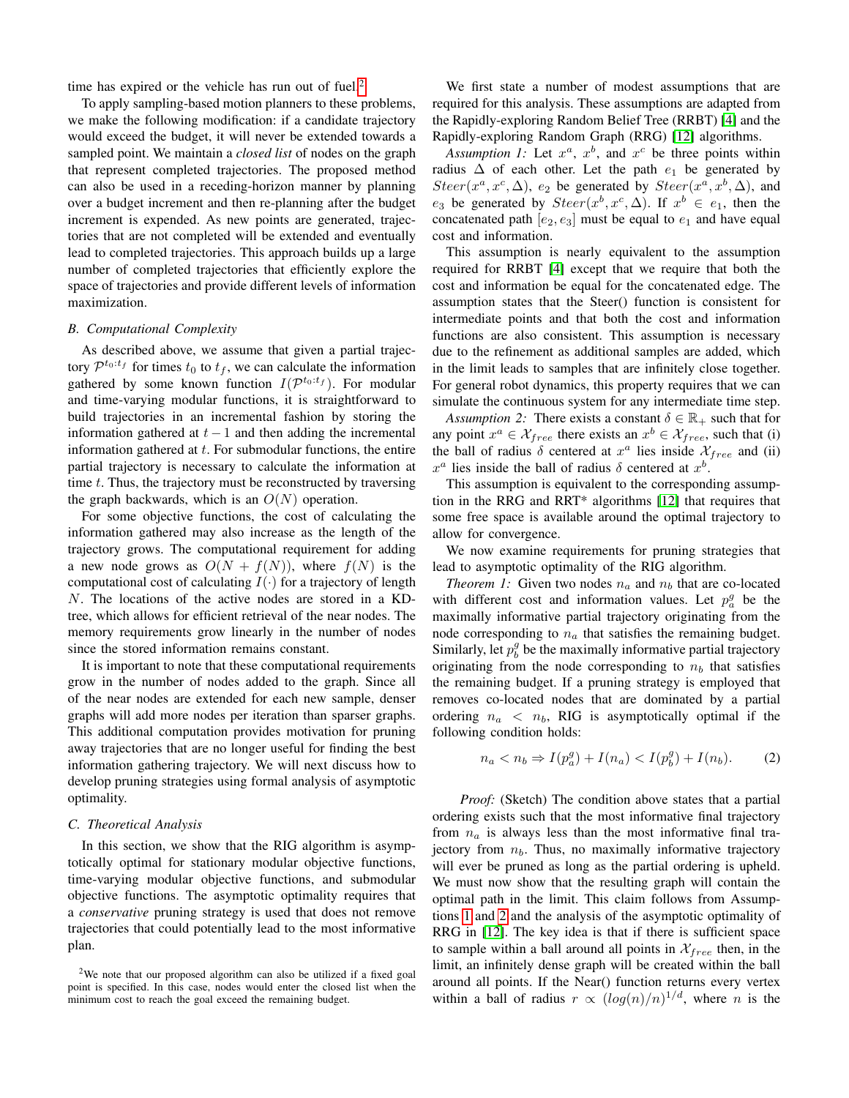time has expired or the vehicle has run out of fuel.<sup>[2](#page-3-1)</sup>

To apply sampling-based motion planners to these problems, we make the following modification: if a candidate trajectory would exceed the budget, it will never be extended towards a sampled point. We maintain a *closed list* of nodes on the graph that represent completed trajectories. The proposed method can also be used in a receding-horizon manner by planning over a budget increment and then re-planning after the budget increment is expended. As new points are generated, trajectories that are not completed will be extended and eventually lead to completed trajectories. This approach builds up a large number of completed trajectories that efficiently explore the space of trajectories and provide different levels of information maximization.

# *B. Computational Complexity*

As described above, we assume that given a partial trajectory  $\mathcal{P}^{t_0:t_f}$  for times  $t_0$  to  $t_f$ , we can calculate the information gathered by some known function  $I(\mathcal{P}^{t_0:t_f})$ . For modular and time-varying modular functions, it is straightforward to build trajectories in an incremental fashion by storing the information gathered at  $t - 1$  and then adding the incremental information gathered at  $t$ . For submodular functions, the entire partial trajectory is necessary to calculate the information at time  $t$ . Thus, the trajectory must be reconstructed by traversing the graph backwards, which is an  $O(N)$  operation.

For some objective functions, the cost of calculating the information gathered may also increase as the length of the trajectory grows. The computational requirement for adding a new node grows as  $O(N + f(N))$ , where  $f(N)$  is the computational cost of calculating  $I(\cdot)$  for a trajectory of length N. The locations of the active nodes are stored in a KDtree, which allows for efficient retrieval of the near nodes. The memory requirements grow linearly in the number of nodes since the stored information remains constant.

It is important to note that these computational requirements grow in the number of nodes added to the graph. Since all of the near nodes are extended for each new sample, denser graphs will add more nodes per iteration than sparser graphs. This additional computation provides motivation for pruning away trajectories that are no longer useful for finding the best information gathering trajectory. We will next discuss how to develop pruning strategies using formal analysis of asymptotic optimality.

# <span id="page-3-0"></span>*C. Theoretical Analysis*

In this section, we show that the RIG algorithm is asymptotically optimal for stationary modular objective functions, time-varying modular objective functions, and submodular objective functions. The asymptotic optimality requires that a *conservative* pruning strategy is used that does not remove trajectories that could potentially lead to the most informative plan.

We first state a number of modest assumptions that are required for this analysis. These assumptions are adapted from the Rapidly-exploring Random Belief Tree (RRBT) [\[4\]](#page-7-9) and the Rapidly-exploring Random Graph (RRG) [\[12\]](#page-7-7) algorithms.

<span id="page-3-2"></span>Assumption 1: Let  $x^a$ ,  $x^b$ , and  $x^c$  be three points within radius  $\Delta$  of each other. Let the path  $e_1$  be generated by  $Steer(x^a, x^c, \Delta), e_2$  be generated by  $Steer(x^a, x^b, \Delta),$  and  $e_3$  be generated by  $Steer(x^b, x^c, \Delta)$ . If  $x^b \in e_1$ , then the concatenated path  $[e_2, e_3]$  must be equal to  $e_1$  and have equal cost and information.

This assumption is nearly equivalent to the assumption required for RRBT [\[4\]](#page-7-9) except that we require that both the cost and information be equal for the concatenated edge. The assumption states that the Steer() function is consistent for intermediate points and that both the cost and information functions are also consistent. This assumption is necessary due to the refinement as additional samples are added, which in the limit leads to samples that are infinitely close together. For general robot dynamics, this property requires that we can simulate the continuous system for any intermediate time step.

<span id="page-3-3"></span>*Assumption 2:* There exists a constant  $\delta \in \mathbb{R}_+$  such that for any point  $x^a \in \mathcal{X}_{free}$  there exists an  $x^b \in \mathcal{X}_{free}$ , such that (i) the ball of radius  $\delta$  centered at  $x^a$  lies inside  $\mathcal{X}_{free}$  and (ii)  $x^a$  lies inside the ball of radius  $\delta$  centered at  $x^b$ .

This assumption is equivalent to the corresponding assumption in the RRG and RRT\* algorithms [\[12\]](#page-7-7) that requires that some free space is available around the optimal trajectory to allow for convergence.

We now examine requirements for pruning strategies that lead to asymptotic optimality of the RIG algorithm.

*Theorem 1:* Given two nodes  $n_a$  and  $n_b$  that are co-located with different cost and information values. Let  $p_a^g$  be the maximally informative partial trajectory originating from the node corresponding to  $n_a$  that satisfies the remaining budget. Similarly, let  $p_b^g$  be the maximally informative partial trajectory originating from the node corresponding to  $n_b$  that satisfies the remaining budget. If a pruning strategy is employed that removes co-located nodes that are dominated by a partial ordering  $n_a \, < \, n_b$ , RIG is asymptotically optimal if the following condition holds:

$$
n_a < n_b \Rightarrow I(p_a^g) + I(n_a) < I(p_b^g) + I(n_b).
$$
 (2)

*Proof:* (Sketch) The condition above states that a partial ordering exists such that the most informative final trajectory from  $n_a$  is always less than the most informative final trajectory from  $n_b$ . Thus, no maximally informative trajectory will ever be pruned as long as the partial ordering is upheld. We must now show that the resulting graph will contain the optimal path in the limit. This claim follows from Assumptions [1](#page-3-2) and [2](#page-3-3) and the analysis of the asymptotic optimality of RRG in [\[12\]](#page-7-7). The key idea is that if there is sufficient space to sample within a ball around all points in  $\mathcal{X}_{free}$  then, in the limit, an infinitely dense graph will be created within the ball around all points. If the Near() function returns every vertex within a ball of radius  $r \propto (log(n)/n)^{1/d}$ , where n is the

<span id="page-3-1"></span><sup>&</sup>lt;sup>2</sup>We note that our proposed algorithm can also be utilized if a fixed goal point is specified. In this case, nodes would enter the closed list when the minimum cost to reach the goal exceed the remaining budget.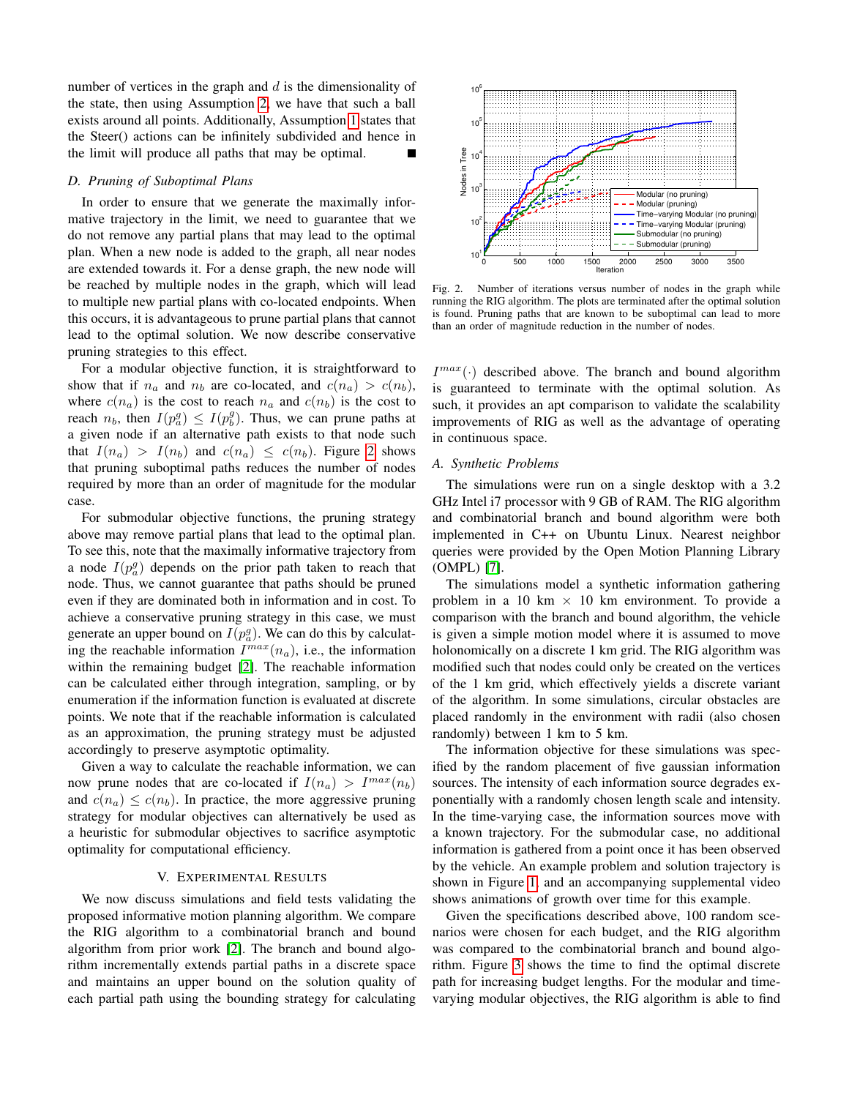number of vertices in the graph and  $d$  is the dimensionality of the state, then using Assumption [2,](#page-3-3) we have that such a ball exists around all points. Additionally, Assumption [1](#page-3-2) states that the Steer() actions can be infinitely subdivided and hence in the limit will produce all paths that may be optimal.

## *D. Pruning of Suboptimal Plans*

In order to ensure that we generate the maximally informative trajectory in the limit, we need to guarantee that we do not remove any partial plans that may lead to the optimal plan. When a new node is added to the graph, all near nodes are extended towards it. For a dense graph, the new node will be reached by multiple nodes in the graph, which will lead to multiple new partial plans with co-located endpoints. When this occurs, it is advantageous to prune partial plans that cannot lead to the optimal solution. We now describe conservative pruning strategies to this effect.

For a modular objective function, it is straightforward to show that if  $n_a$  and  $n_b$  are co-located, and  $c(n_a) > c(n_b)$ , where  $c(n_a)$  is the cost to reach  $n_a$  and  $c(n_b)$  is the cost to reach  $n_b$ , then  $I(p_a^g) \leq I(p_b^g)$ . Thus, we can prune paths at a given node if an alternative path exists to that node such that  $I(n_a) > I(n_b)$  and  $c(n_a) \leq c(n_b)$ . Figure [2](#page-4-1) shows that pruning suboptimal paths reduces the number of nodes required by more than an order of magnitude for the modular case.

For submodular objective functions, the pruning strategy above may remove partial plans that lead to the optimal plan. To see this, note that the maximally informative trajectory from a node  $I(p_a^g)$  depends on the prior path taken to reach that node. Thus, we cannot guarantee that paths should be pruned even if they are dominated both in information and in cost. To achieve a conservative pruning strategy in this case, we must generate an upper bound on  $I(p_a^g)$ . We can do this by calculating the reachable information  $I^{max}(n_a)$ , i.e., the information within the remaining budget [\[2\]](#page-7-6). The reachable information can be calculated either through integration, sampling, or by enumeration if the information function is evaluated at discrete points. We note that if the reachable information is calculated as an approximation, the pruning strategy must be adjusted accordingly to preserve asymptotic optimality.

Given a way to calculate the reachable information, we can now prune nodes that are co-located if  $I(n_a) > I^{max}(n_b)$ and  $c(n_a) \leq c(n_b)$ . In practice, the more aggressive pruning strategy for modular objectives can alternatively be used as a heuristic for submodular objectives to sacrifice asymptotic optimality for computational efficiency.

#### V. EXPERIMENTAL RESULTS

<span id="page-4-0"></span>We now discuss simulations and field tests validating the proposed informative motion planning algorithm. We compare the RIG algorithm to a combinatorial branch and bound algorithm from prior work [\[2\]](#page-7-6). The branch and bound algorithm incrementally extends partial paths in a discrete space and maintains an upper bound on the solution quality of each partial path using the bounding strategy for calculating



<span id="page-4-1"></span>Fig. 2. Number of iterations versus number of nodes in the graph while running the RIG algorithm. The plots are terminated after the optimal solution is found. Pruning paths that are known to be suboptimal can lead to more than an order of magnitude reduction in the number of nodes.

 $I^{max}(\cdot)$  described above. The branch and bound algorithm is guaranteed to terminate with the optimal solution. As such, it provides an apt comparison to validate the scalability improvements of RIG as well as the advantage of operating in continuous space.

## *A. Synthetic Problems*

The simulations were run on a single desktop with a 3.2 GHz Intel i7 processor with 9 GB of RAM. The RIG algorithm and combinatorial branch and bound algorithm were both implemented in C++ on Ubuntu Linux. Nearest neighbor queries were provided by the Open Motion Planning Library (OMPL) [\[7\]](#page-7-20).

The simulations model a synthetic information gathering problem in a 10 km  $\times$  10 km environment. To provide a comparison with the branch and bound algorithm, the vehicle is given a simple motion model where it is assumed to move holonomically on a discrete 1 km grid. The RIG algorithm was modified such that nodes could only be created on the vertices of the 1 km grid, which effectively yields a discrete variant of the algorithm. In some simulations, circular obstacles are placed randomly in the environment with radii (also chosen randomly) between 1 km to 5 km.

The information objective for these simulations was specified by the random placement of five gaussian information sources. The intensity of each information source degrades exponentially with a randomly chosen length scale and intensity. In the time-varying case, the information sources move with a known trajectory. For the submodular case, no additional information is gathered from a point once it has been observed by the vehicle. An example problem and solution trajectory is shown in Figure [1,](#page-0-0) and an accompanying supplemental video shows animations of growth over time for this example.

Given the specifications described above, 100 random scenarios were chosen for each budget, and the RIG algorithm was compared to the combinatorial branch and bound algorithm. Figure [3](#page-5-0) shows the time to find the optimal discrete path for increasing budget lengths. For the modular and timevarying modular objectives, the RIG algorithm is able to find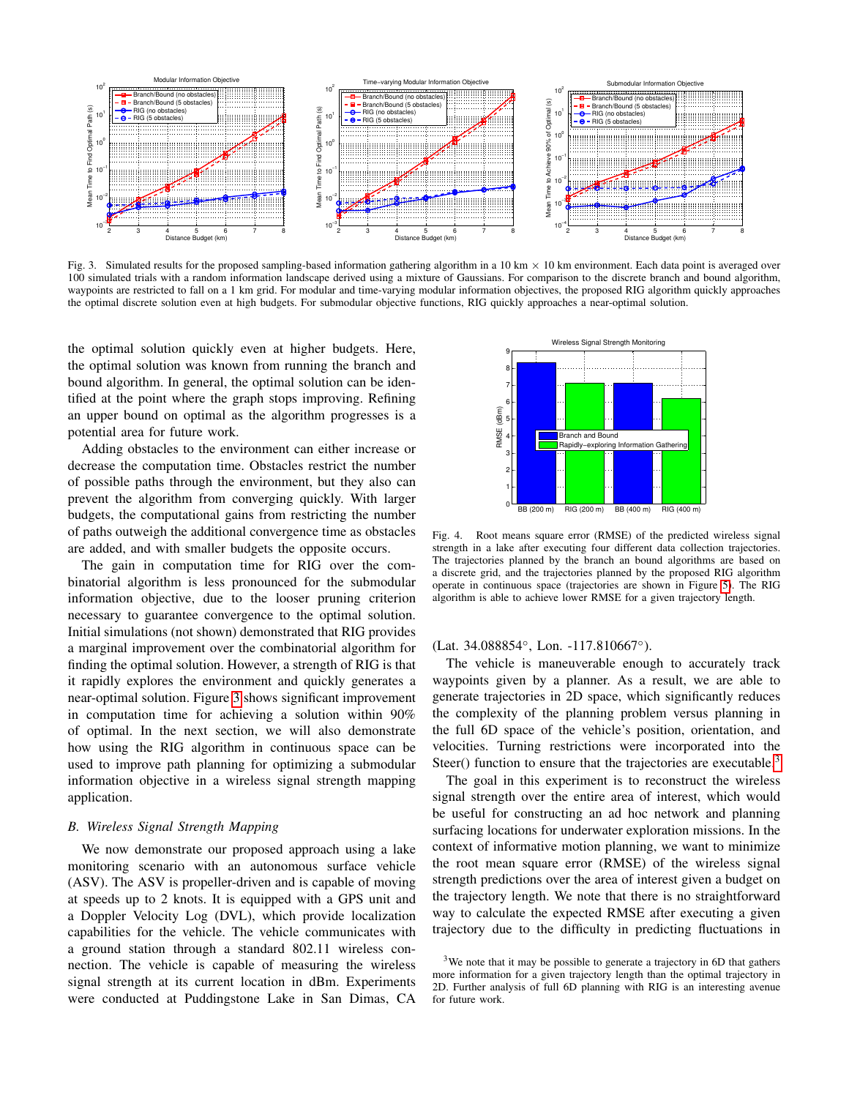

Fig. 3. Simulated results for the proposed sampling-based information gathering algorithm in a 10 km  $\times$  10 km environment. Each data point is averaged over 100 simulated trials with a random information landscape derived using a mixture of Gaussians. For comparison to the discrete branch and bound algorithm, waypoints are restricted to fall on a 1 km grid. For modular and time-varying modular information objectives, the proposed RIG algorithm quickly approaches the optimal discrete solution even at high budgets. For submodular objective functions, RIG quickly approaches a near-optimal solution.

the optimal solution quickly even at higher budgets. Here, the optimal solution was known from running the branch and bound algorithm. In general, the optimal solution can be identified at the point where the graph stops improving. Refining an upper bound on optimal as the algorithm progresses is a potential area for future work.

Adding obstacles to the environment can either increase or decrease the computation time. Obstacles restrict the number of possible paths through the environment, but they also can prevent the algorithm from converging quickly. With larger budgets, the computational gains from restricting the number of paths outweigh the additional convergence time as obstacles are added, and with smaller budgets the opposite occurs.

The gain in computation time for RIG over the combinatorial algorithm is less pronounced for the submodular information objective, due to the looser pruning criterion necessary to guarantee convergence to the optimal solution. Initial simulations (not shown) demonstrated that RIG provides a marginal improvement over the combinatorial algorithm for finding the optimal solution. However, a strength of RIG is that it rapidly explores the environment and quickly generates a near-optimal solution. Figure [3](#page-5-0) shows significant improvement in computation time for achieving a solution within 90% of optimal. In the next section, we will also demonstrate how using the RIG algorithm in continuous space can be used to improve path planning for optimizing a submodular information objective in a wireless signal strength mapping application.

## *B. Wireless Signal Strength Mapping*

We now demonstrate our proposed approach using a lake monitoring scenario with an autonomous surface vehicle (ASV). The ASV is propeller-driven and is capable of moving at speeds up to 2 knots. It is equipped with a GPS unit and a Doppler Velocity Log (DVL), which provide localization capabilities for the vehicle. The vehicle communicates with a ground station through a standard 802.11 wireless connection. The vehicle is capable of measuring the wireless signal strength at its current location in dBm. Experiments were conducted at Puddingstone Lake in San Dimas, CA

<span id="page-5-0"></span>

<span id="page-5-2"></span>Fig. 4. Root means square error (RMSE) of the predicted wireless signal strength in a lake after executing four different data collection trajectories. The trajectories planned by the branch an bound algorithms are based on a discrete grid, and the trajectories planned by the proposed RIG algorithm operate in continuous space (trajectories are shown in Figure [5\)](#page-6-1). The RIG algorithm is able to achieve lower RMSE for a given trajectory length.

(Lat. 34.088854◦ , Lon. -117.810667◦ ).

The vehicle is maneuverable enough to accurately track waypoints given by a planner. As a result, we are able to generate trajectories in 2D space, which significantly reduces the complexity of the planning problem versus planning in the full 6D space of the vehicle's position, orientation, and velocities. Turning restrictions were incorporated into the Steer() function to ensure that the trajectories are executable.<sup>[3](#page-5-1)</sup>

The goal in this experiment is to reconstruct the wireless signal strength over the entire area of interest, which would be useful for constructing an ad hoc network and planning surfacing locations for underwater exploration missions. In the context of informative motion planning, we want to minimize the root mean square error (RMSE) of the wireless signal strength predictions over the area of interest given a budget on the trajectory length. We note that there is no straightforward way to calculate the expected RMSE after executing a given trajectory due to the difficulty in predicting fluctuations in

<span id="page-5-1"></span><sup>&</sup>lt;sup>3</sup>We note that it may be possible to generate a trajectory in 6D that gathers more information for a given trajectory length than the optimal trajectory in 2D. Further analysis of full 6D planning with RIG is an interesting avenue for future work.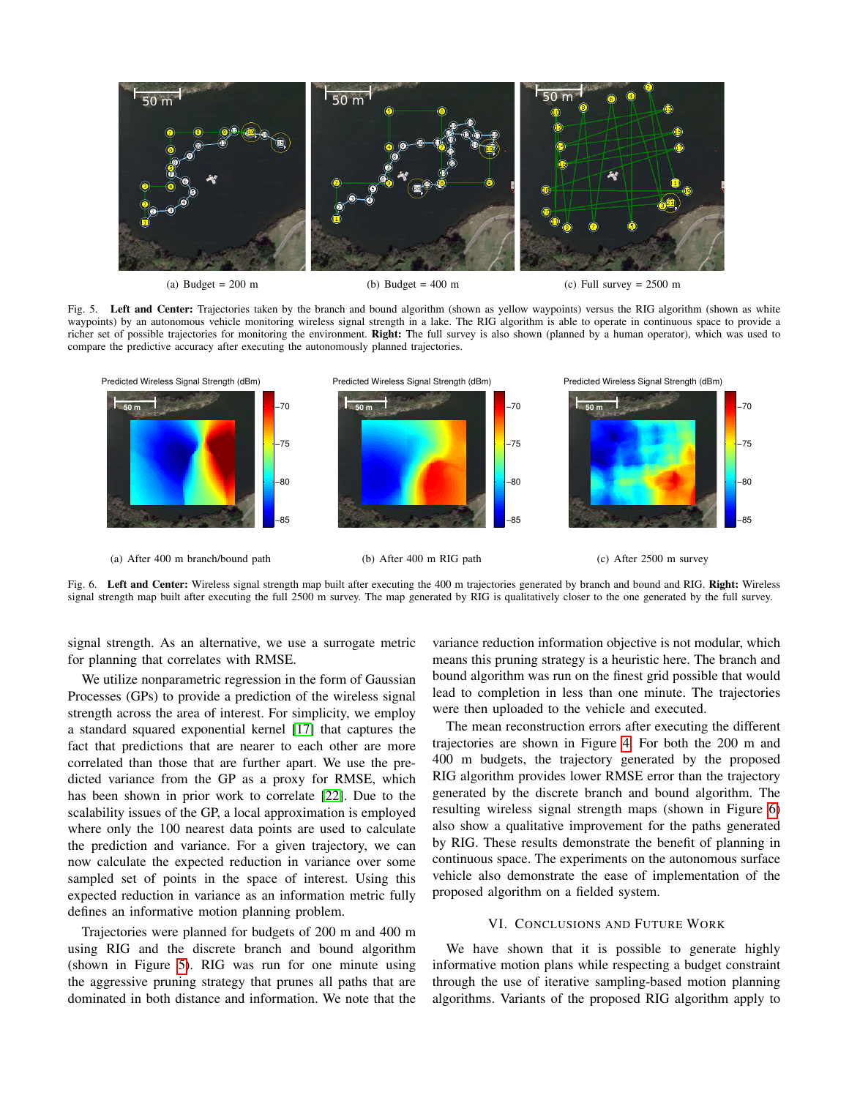

(a) Budget  $= 200$  m

(b) Budget =  $400 \text{ m}$ 

<span id="page-6-2"></span><span id="page-6-1"></span>(c) Full survey  $= 2500$  m

Fig. 5. Left and Center: Trajectories taken by the branch and bound algorithm (shown as yellow waypoints) versus the RIG algorithm (shown as white waypoints) by an autonomous vehicle monitoring wireless signal strength in a lake. The RIG algorithm is able to operate in continuous space to provide a richer set of possible trajectories for monitoring the environment. Right: The full survey is also shown (planned by a human operator), which was used to compare the predictive accuracy after executing the autonomously planned trajectories.



Fig. 6. Left and Center: Wireless signal strength map built after executing the 400 m trajectories generated by branch and bound and RIG. Right: Wireless signal strength map built after executing the full 2500 m survey. The map generated by RIG is qualitatively closer to the one generated by the full survey.

signal strength. As an alternative, we use a surrogate metric for planning that correlates with RMSE.

We utilize nonparametric regression in the form of Gaussian Processes (GPs) to provide a prediction of the wireless signal strength across the area of interest. For simplicity, we employ a standard squared exponential kernel [\[17\]](#page-7-21) that captures the fact that predictions that are nearer to each other are more correlated than those that are further apart. We use the predicted variance from the GP as a proxy for RMSE, which has been shown in prior work to correlate [\[22\]](#page-7-22). Due to the scalability issues of the GP, a local approximation is employed where only the 100 nearest data points are used to calculate the prediction and variance. For a given trajectory, we can now calculate the expected reduction in variance over some sampled set of points in the space of interest. Using this expected reduction in variance as an information metric fully defines an informative motion planning problem.

Trajectories were planned for budgets of 200 m and 400 m using RIG and the discrete branch and bound algorithm (shown in Figure [5\)](#page-6-1). RIG was run for one minute using the aggressive pruning strategy that prunes all paths that are dominated in both distance and information. We note that the

variance reduction information objective is not modular, which means this pruning strategy is a heuristic here. The branch and bound algorithm was run on the finest grid possible that would lead to completion in less than one minute. The trajectories were then uploaded to the vehicle and executed.

The mean reconstruction errors after executing the different trajectories are shown in Figure [4.](#page-5-2) For both the 200 m and 400 m budgets, the trajectory generated by the proposed RIG algorithm provides lower RMSE error than the trajectory generated by the discrete branch and bound algorithm. The resulting wireless signal strength maps (shown in Figure [6\)](#page-6-2) also show a qualitative improvement for the paths generated by RIG. These results demonstrate the benefit of planning in continuous space. The experiments on the autonomous surface vehicle also demonstrate the ease of implementation of the proposed algorithm on a fielded system.

# VI. CONCLUSIONS AND FUTURE WORK

<span id="page-6-0"></span>We have shown that it is possible to generate highly informative motion plans while respecting a budget constraint through the use of iterative sampling-based motion planning algorithms. Variants of the proposed RIG algorithm apply to